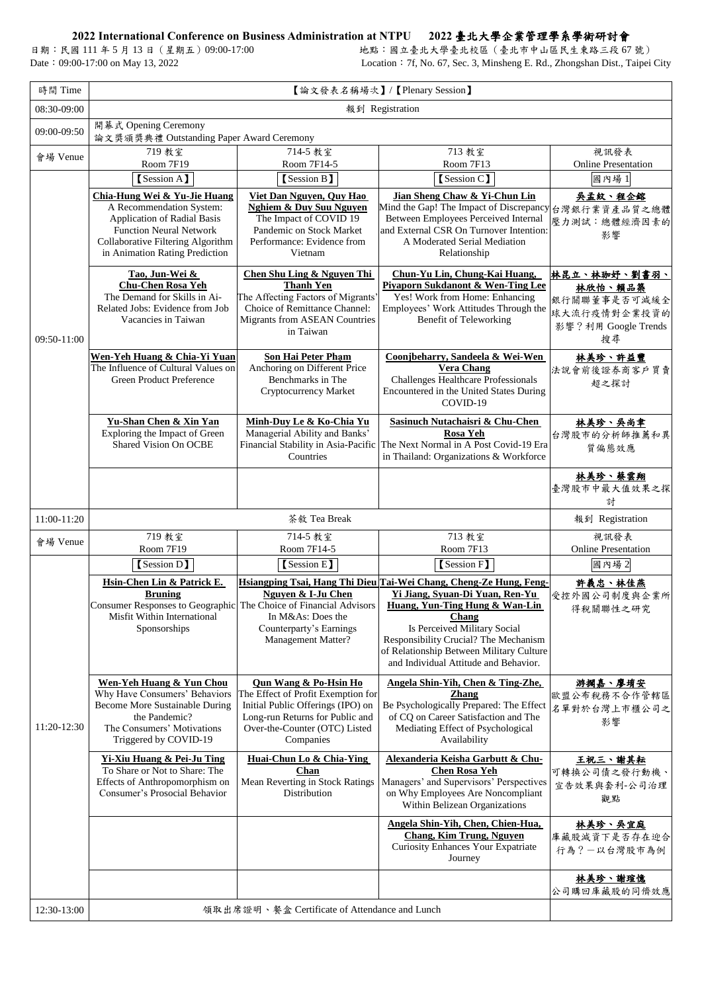## **2022 International Conference on Business Administration at NTPU 2022** 臺北大學企業管理學系學術研討會

日期:民國 111 年 5 月 13 日 (星期五) 09:00-17:00 <br>Date: 09:00-17:00 on May 13, 2022 <br>Location: 7f, No. 67, Sec. 3, Minsheng E. Rd., Zhongshan Dist., Taipei Location: 7f, No. 67, Sec. 3, Minsheng E. Rd., Zhongshan Dist., Taipei City

|             | Yi-Xiu Huang & Pei-Ju Ting<br>To Share or Not to Share: The<br>Effects of Anthropomorphism on<br><b>Consumer's Prosocial Behavior</b> | Huai-Chun Lo & Chia-Ying<br><b>Chan</b><br>Mean Reverting in Stock Ratings<br>Distribution | Alexanderia Keisha Garbutt & Chu-<br><b>Chen Rosa Yeh</b><br>Managers' and Supervisors' Perspectives<br>on Why Employees Are Noncompliant<br>Within Belizean Organizations | 王祝三、謝其耘<br>可轉換公司債之發行動機、<br>宣告效果與套利-公司治理<br>觀點 |
|-------------|---------------------------------------------------------------------------------------------------------------------------------------|--------------------------------------------------------------------------------------------|----------------------------------------------------------------------------------------------------------------------------------------------------------------------------|-----------------------------------------------|
|             |                                                                                                                                       |                                                                                            | Angela Shin-Yih, Chen, Chien-Hua,<br><b>Chang, Kim Trung, Nguyen</b><br><b>Curiosity Enhances Your Expatriate</b><br>Journey                                               | 林美珍、吳宜庭<br>庫藏股減資下是否存在迎合<br>行為?一以台灣股市為例        |
|             |                                                                                                                                       |                                                                                            |                                                                                                                                                                            | 林美珍、謝瑄憶<br>公司購回庫藏股的同儕效應                       |
| 12:30-13:00 |                                                                                                                                       | 領取出席證明、餐盒 Certificate of Attendance and Lunch                                              |                                                                                                                                                                            |                                               |

| 時間 Time     | 【論文發表名稱場次】/【Plenary Session】                                                                                                                                                                            |                                                                                                                                                                                              |                                                                                                                                                                                                                                                                                                                       |                                                                                      |  |
|-------------|---------------------------------------------------------------------------------------------------------------------------------------------------------------------------------------------------------|----------------------------------------------------------------------------------------------------------------------------------------------------------------------------------------------|-----------------------------------------------------------------------------------------------------------------------------------------------------------------------------------------------------------------------------------------------------------------------------------------------------------------------|--------------------------------------------------------------------------------------|--|
| 08:30-09:00 | 報到 Registration                                                                                                                                                                                         |                                                                                                                                                                                              |                                                                                                                                                                                                                                                                                                                       |                                                                                      |  |
| 09:00-09:50 | 開幕式 Opening Ceremony<br>論文獎頒獎典禮 Outstanding Paper Award Ceremony                                                                                                                                        |                                                                                                                                                                                              |                                                                                                                                                                                                                                                                                                                       |                                                                                      |  |
| 會場 Venue    | 719 教室<br>Room 7F19                                                                                                                                                                                     | 714-5 教室<br>Room 7F14-5                                                                                                                                                                      | 713 教室<br>Room 7F13                                                                                                                                                                                                                                                                                                   | 視訊發表<br><b>Online Presentation</b>                                                   |  |
|             | [Session A]                                                                                                                                                                                             | [Session B]                                                                                                                                                                                  | [Session C]                                                                                                                                                                                                                                                                                                           | 國內場1                                                                                 |  |
| 09:50-11:00 | Chia-Hung Wei & Yu-Jie Huang<br>A Recommendation System:<br><b>Application of Radial Basis</b><br><b>Function Neural Network</b><br>Collaborative Filtering Algorithm<br>in Animation Rating Prediction | Viet Dan Nguyen, Quy Hao<br><b>Nghiem &amp; Duy Suu Nguyen</b><br>The Impact of COVID 19<br>Pandemic on Stock Market<br>Performance: Evidence from<br>Vietnam                                | Jian Sheng Chaw & Yi-Chun Lin<br>Mind the Gap! The Impact of Discrepancy 台灣銀行業資產品質之總體<br>Between Employees Perceived Internal<br>and External CSR On Turnover Intention:<br>A Moderated Serial Mediation<br>Relationship                                                                                              | 吴孟紋、程企鎔<br>壓力測試:總體經濟因素的<br>影響                                                        |  |
|             | Tao, Jun-Wei &<br><b>Chu-Chen Rosa Yeh</b><br>The Demand for Skills in Ai-<br>Related Jobs: Evidence from Job<br>Vacancies in Taiwan                                                                    | <b>Chen Shu Ling &amp; Nguyen Thi</b><br><b>Thanh Yen</b><br>The Affecting Factors of Migrants'<br>Choice of Remittance Channel:<br><b>Migrants from ASEAN Countries</b><br>in Taiwan        | Chun-Yu Lin, Chung-Kai Huang,<br><b>Piyaporn Sukdanont &amp; Wen-Ting Lee</b><br>Yes! Work from Home: Enhancing<br>Employees' Work Attitudes Through the<br><b>Benefit of Teleworking</b>                                                                                                                             | 林昆立、林珈妤、劉書羽、<br>林欣怡、賴品築<br>銀行關聯董事是否可減緩全<br>球大流行疫情對企業投資的<br>影響?利用 Google Trends<br>搜尋 |  |
|             | Wen-Yeh Huang & Chia-Yi Yuan<br>The Influence of Cultural Values on<br><b>Green Product Preference</b>                                                                                                  | <b>Son Hai Peter Pham</b><br>Anchoring on Different Price<br>Benchmarks in The<br><b>Cryptocurrency Market</b>                                                                               | Coonjbeharry, Sandeela & Wei-Wen<br><b>Vera Chang</b><br><b>Challenges Healthcare Professionals</b><br>Encountered in the United States During<br>COVID-19                                                                                                                                                            | 林美珍、許益豐<br>法說會前後證券商客戶買賣<br>超之探討                                                      |  |
|             | Yu-Shan Chen & Xin Yan<br>Exploring the Impact of Green<br><b>Shared Vision On OCBE</b>                                                                                                                 | Minh-Duy Le & Ko-Chia Yu<br>Managerial Ability and Banks'<br>Financial Stability in Asia-Pacific<br>Countries                                                                                | <b>Sasinuch Nutachaisri &amp; Chu-Chen</b><br><b>Rosa Yeh</b><br>The Next Normal in A Post Covid-19 Era<br>in Thailand: Organizations & Workforce                                                                                                                                                                     | 林美珍、吳尚聿<br>台灣股市的分析師推薦和異<br>質偏態效應                                                     |  |
|             |                                                                                                                                                                                                         |                                                                                                                                                                                              |                                                                                                                                                                                                                                                                                                                       | 林美珍、蔡雲翔<br>臺灣股市中最大值效果之探<br>討                                                         |  |
| 11:00-11:20 |                                                                                                                                                                                                         | 茶敘 Tea Break                                                                                                                                                                                 |                                                                                                                                                                                                                                                                                                                       | 報到 Registration                                                                      |  |
| 會場 Venue    | 719 教室<br>Room 7F19                                                                                                                                                                                     | 714-5 教室<br>Room 7F14-5                                                                                                                                                                      | 713 教室<br>Room 7F13                                                                                                                                                                                                                                                                                                   | 視訊發表<br><b>Online Presentation</b>                                                   |  |
|             | [Session D]                                                                                                                                                                                             | [Session E]                                                                                                                                                                                  | [Session F]                                                                                                                                                                                                                                                                                                           | 國內場2                                                                                 |  |
| 11:20-12:30 | Hsin-Chen Lin & Patrick E.<br><b>Bruning</b><br><b>Consumer Responses to Geographic</b><br>Misfit Within International<br>Sponsorships                                                                  | Nguyen & I-Ju Chen<br>The Choice of Financial Advisors<br>In M&As: Does the<br>Counterparty's Earnings<br><b>Management Matter?</b>                                                          | Hsiangping Tsai, Hang Thi Dieu Tai-Wei Chang, Cheng-Ze Hung, Feng-<br>Yi Jiang, Syuan-Di Yuan, Ren-Yu<br>Huang, Yun-Ting Hung & Wan-Lin<br><b>Chang</b><br>Is Perceived Military Social<br>Responsibility Crucial? The Mechanism<br>of Relationship Between Military Culture<br>and Individual Attitude and Behavior. | 許義忠、林佳燕<br>受控外國公司制度與企業所<br>得稅關聯性之研究                                                  |  |
|             | <b>Wen-Yeh Huang &amp; Yun Chou</b><br>Why Have Consumers' Behaviors<br><b>Become More Sustainable During</b><br>the Pandemic?<br>The Consumers' Motivations<br>Triggered by COVID-19                   | <b>Qun Wang &amp; Po-Hsin Ho</b><br>The Effect of Profit Exemption for<br>Initial Public Offerings (IPO) on<br>Long-run Returns for Public and<br>Over-the-Counter (OTC) Listed<br>Companies | Angela Shin-Yih, Chen & Ting-Zhe,<br><b>Zhang</b><br>Be Psychologically Prepared: The Effect<br>of CQ on Career Satisfaction and The<br>Mediating Effect of Psychological<br>Availability                                                                                                                             | <u>游擱嘉、廖堉安</u><br>歐盟公布稅務不合作管轄區<br>名單對於台灣上市櫃公司之<br>影響                                 |  |